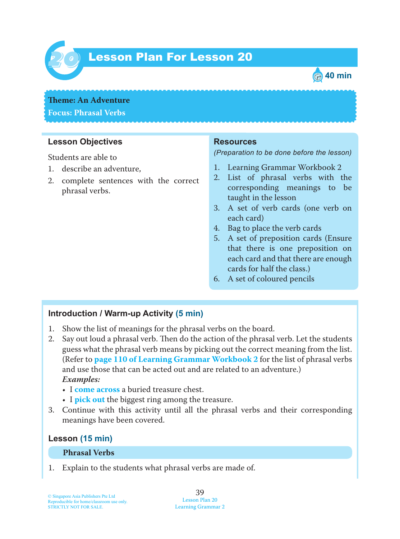

# Lesson Plan For Lesson 20 *20*



# **Theme: An Adventure**

#### **Focus: Phrasal Verbs**

#### **Lesson Objectives**

Students are able to

- 1. describe an adventure,
- 2. complete sentences with the correct phrasal verbs.

#### **Resources**

*(Preparation to be done before the lesson)*

- 1. Learning Grammar Workbook 2
- 2. List of phrasal verbs with the corresponding meanings to be taught in the lesson
- 3. A set of verb cards (one verb on each card)
- 4. Bag to place the verb cards
- 5. A set of preposition cards (Ensure that there is one preposition on each card and that there are enough cards for half the class.)
- 6. A set of coloured pencils

#### **Introduction / Warm-up Activity (5 min)**

- 1. Show the list of meanings for the phrasal verbs on the board.
- 2. Say out loud a phrasal verb. Then do the action of the phrasal verb. Let the students guess what the phrasal verb means by picking out the correct meaning from the list. (Refer to **page 110 of Learning Grammar Workbook 2** for the list of phrasal verbs and use those that can be acted out and are related to an adventure.)  *Examples:*
	- I **come across** a buried treasure chest.
	- I **pick out** the biggest ring among the treasure.
- 3. Continue with this activity until all the phrasal verbs and their corresponding meanings have been covered.

#### **Lesson (15 min)**

#### **Phrasal Verbs**

1. Explain to the students what phrasal verbs are made of.